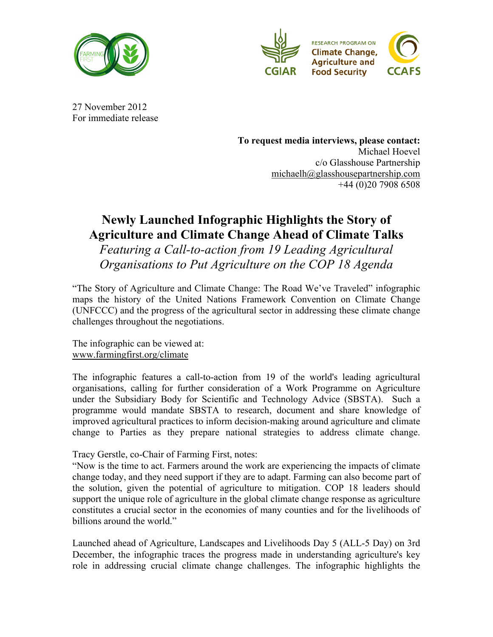



27 November 2012 For immediate release

> **To request media interviews, please contact:**  Michael Hoevel c/o Glasshouse Partnership michaelh@glasshousepartnership.com +44 (0)20 7908 6508

# **Newly Launched Infographic Highlights the Story of Agriculture and Climate Change Ahead of Climate Talks**

*Featuring a Call-to-action from 19 Leading Agricultural Organisations to Put Agriculture on the COP 18 Agenda*

"The Story of Agriculture and Climate Change: The Road We've Traveled" infographic maps the history of the United Nations Framework Convention on Climate Change (UNFCCC) and the progress of the agricultural sector in addressing these climate change challenges throughout the negotiations.

The infographic can be viewed at: www.farmingfirst.org/climate

The infographic features a call-to-action from 19 of the world's leading agricultural organisations, calling for further consideration of a Work Programme on Agriculture under the Subsidiary Body for Scientific and Technology Advice (SBSTA). Such a programme would mandate SBSTA to research, document and share knowledge of improved agricultural practices to inform decision-making around agriculture and climate change to Parties as they prepare national strategies to address climate change.

Tracy Gerstle, co-Chair of Farming First, notes:

"Now is the time to act. Farmers around the work are experiencing the impacts of climate change today, and they need support if they are to adapt. Farming can also become part of the solution, given the potential of agriculture to mitigation. COP 18 leaders should support the unique role of agriculture in the global climate change response as agriculture constitutes a crucial sector in the economies of many counties and for the livelihoods of billions around the world."

Launched ahead of Agriculture, Landscapes and Livelihoods Day 5 (ALL-5 Day) on 3rd December, the infographic traces the progress made in understanding agriculture's key role in addressing crucial climate change challenges. The infographic highlights the